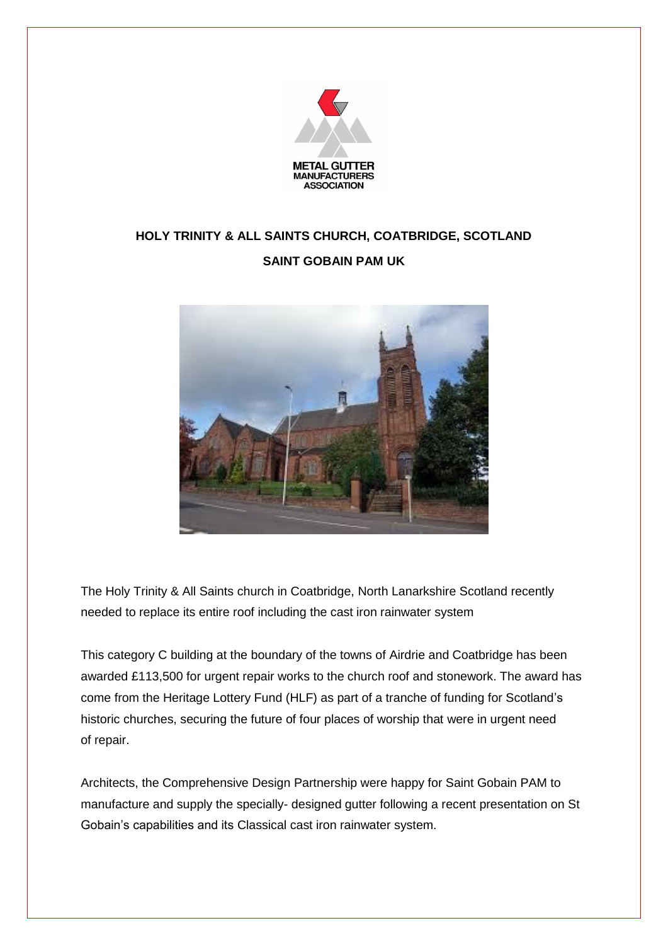

## **HOLY TRINITY & ALL SAINTS CHURCH, COATBRIDGE, SCOTLAND**

## **SAINT GOBAIN PAM UK**



The Holy Trinity & All Saints church in Coatbridge, North Lanarkshire Scotland recently needed to replace its entire roof including the cast iron rainwater system

This category C building at the boundary of the towns of Airdrie and Coatbridge has been awarded £113,500 for urgent repair works to the church roof and stonework. The award has come from the Heritage Lottery Fund (HLF) as part of a tranche of funding for Scotland's historic churches, securing the future of four places of worship that were in urgent need of repair.

Architects, the Comprehensive Design Partnership were happy for Saint Gobain PAM to manufacture and supply the specially- designed gutter following a recent presentation on St Gobain's capabilities and its Classical cast iron rainwater system.